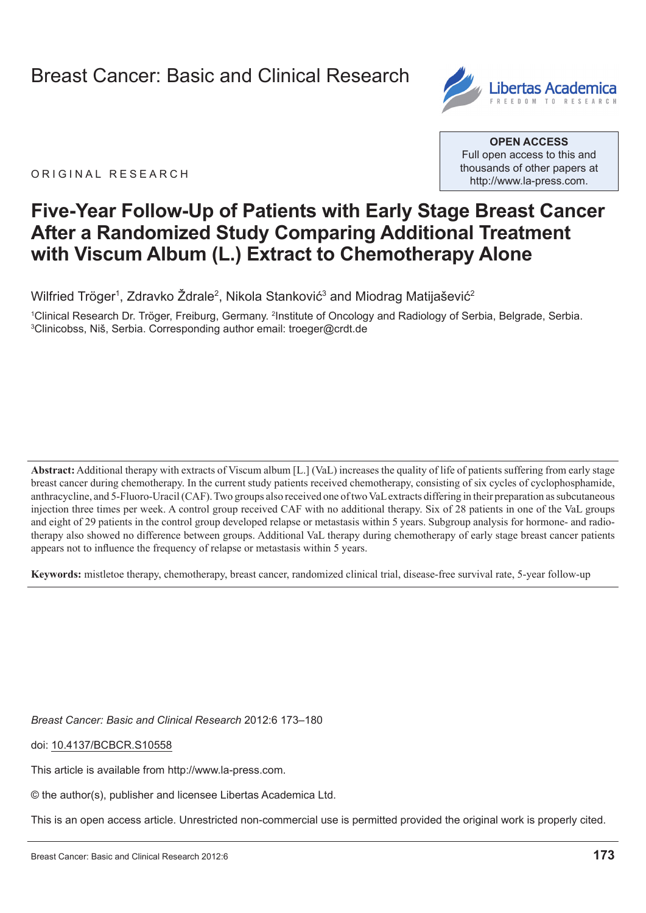

ORIGINAL RESEARCH

**Open Access** Full open access to this and thousands of other papers at <http://www.la-press.com>.

# **Five-Year Follow-Up of patients with early stage Breast cancer After a Randomized study comparing Additional Treatment with Viscum Album (L.) extract to chemotherapy Alone**

Wilfried Tröger<sup>1</sup>, Zdravko Żdrale<sup>2</sup>, Nikola Stanković<sup>3</sup> and Miodrag Matijašević<sup>2</sup>

<sup>1</sup>Clinical Research Dr. Tröger, Freiburg, Germany. <sup>2</sup>Institute of Oncology and Radiology of Serbia, Belgrade, Serbia.<br><sup>3</sup>Clinicobss, Niš, Serbia, Corresponding author email: troeger@crdt.de <sup>3</sup>Clinicobss, Niš, Serbia. Corresponding author email: [troeger@crdt.de](mailto:troeger@crdt.de)

**Abstract:** Additional therapy with extracts of Viscum album [L.] (VaL) increases the quality of life of patients suffering from early stage breast cancer during chemotherapy. In the current study patients received chemotherapy, consisting of six cycles of cyclophosphamide, anthracycline, and 5-Fluoro-Uracil (CAF). Two groups also received one of two VaL extracts differing in their preparation as subcutaneous injection three times per week. A control group received CAF with no additional therapy. Six of 28 patients in one of the VaL groups and eight of 29 patients in the control group developed relapse or metastasis within 5 years. Subgroup analysis for hormone- and radiotherapy also showed no difference between groups. Additional VaL therapy during chemotherapy of early stage breast cancer patients appears not to influence the frequency of relapse or metastasis within 5 years.

**Keywords:** mistletoe therapy, chemotherapy, breast cancer, randomized clinical trial, disease-free survival rate, 5-year follow-up

*Breast Cancer: Basic and Clinical Research* 2012:6 173–180

doi: [10.4137/BCBCR.S10558](http://dx.doi.org/10.4137/BCBCR.S10558)

This article is available from [http://www.la-press.com.](http://www.la-press.com)

© the author(s), publisher and licensee Libertas Academica Ltd.

This is an open access article. Unrestricted non-commercial use is permitted provided the original work is properly cited.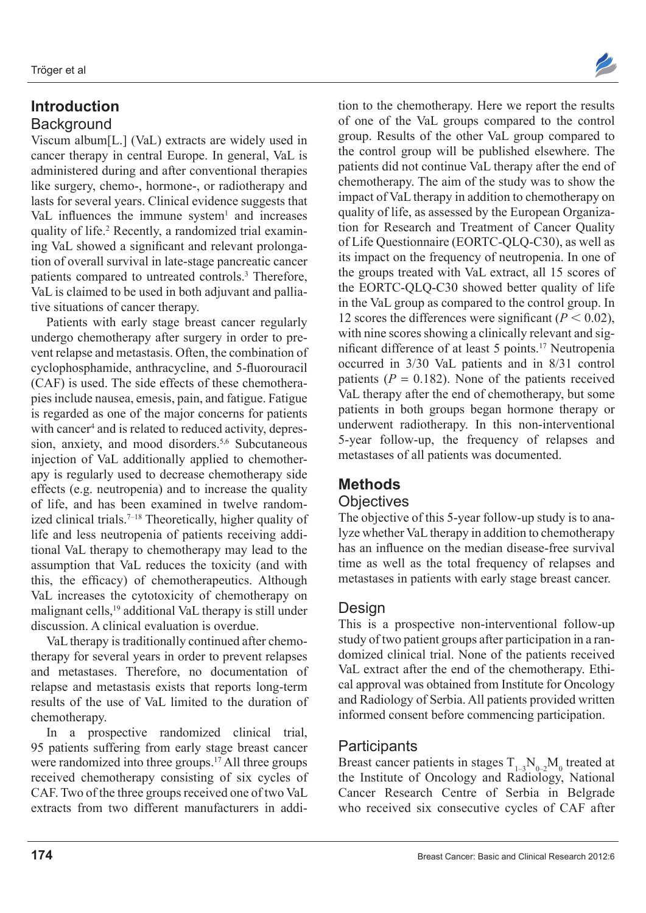### **Introduction Background**

Viscum album[L.] (VaL) extracts are widely used in cancer therapy in central Europe. In general, VaL is administered during and after conventional therapies like surgery, chemo-, hormone-, or radiotherapy and lasts for several years. Clinical evidence suggests that VaL influences the immune system $<sup>1</sup>$  and increases</sup> quality of life.<sup>2</sup> Recently, a randomized trial examining VaL showed a significant and relevant prolongation of overall survival in late-stage pancreatic cancer patients compared to untreated controls.3 Therefore, VaL is claimed to be used in both adjuvant and palliative situations of cancer therapy.

Patients with early stage breast cancer regularly undergo chemotherapy after surgery in order to prevent relapse and metastasis. Often, the combination of cyclophosphamide, anthracycline, and 5-fluorouracil (CAF) is used. The side effects of these chemotherapies include nausea, emesis, pain, and fatigue. Fatigue is regarded as one of the major concerns for patients with cancer<sup>4</sup> and is related to reduced activity, depression, anxiety, and mood disorders.<sup>5,6</sup> Subcutaneous injection of VaL additionally applied to chemotherapy is regularly used to decrease chemotherapy side effects (e.g. neutropenia) and to increase the quality of life, and has been examined in twelve randomized clinical trials.<sup>7-18</sup> Theoretically, higher quality of life and less neutropenia of patients receiving additional VaL therapy to chemotherapy may lead to the assumption that VaL reduces the toxicity (and with this, the efficacy) of chemotherapeutics. Although VaL increases the cytotoxicity of chemotherapy on malignant cells,19 additional VaL therapy is still under discussion. A clinical evaluation is overdue.

VaL therapy is traditionally continued after chemotherapy for several years in order to prevent relapses and metastases. Therefore, no documentation of relapse and metastasis exists that reports long-term results of the use of VaL limited to the duration of chemotherapy.

In a prospective randomized clinical trial, 95 patients suffering from early stage breast cancer were randomized into three groups.<sup>17</sup> All three groups received chemotherapy consisting of six cycles of CAF. Two of the three groups received one of two VaL extracts from two different manufacturers in addi-



tion to the chemotherapy. Here we report the results of one of the VaL groups compared to the control group. Results of the other VaL group compared to the control group will be published elsewhere. The patients did not continue VaL therapy after the end of chemotherapy. The aim of the study was to show the impact of VaL therapy in addition to chemotherapy on quality of life, as assessed by the European Organization for Research and Treatment of Cancer Quality of Life Questionnaire (EORTC-QLQ-C30), as well as its impact on the frequency of neutropenia. In one of the groups treated with VaL extract, all 15 scores of the EORTC-QLQ-C30 showed better quality of life in the VaL group as compared to the control group. In 12 scores the differences were significant  $(P < 0.02)$ , with nine scores showing a clinically relevant and significant difference of at least 5 points.<sup>17</sup> Neutropenia occurred in 3/30 VaL patients and in 8/31 control patients  $(P = 0.182)$ . None of the patients received VaL therapy after the end of chemotherapy, but some patients in both groups began hormone therapy or underwent radiotherapy. In this non-interventional 5-year follow-up, the frequency of relapses and metastases of all patients was documented.

### **Methods**

#### **Objectives**

The objective of this 5-year follow-up study is to analyze whether VaL therapy in addition to chemotherapy has an influence on the median disease-free survival time as well as the total frequency of relapses and metastases in patients with early stage breast cancer.

### Design

This is a prospective non-interventional follow-up study of two patient groups after participation in a randomized clinical trial. None of the patients received VaL extract after the end of the chemotherapy. Ethical approval was obtained from Institute for Oncology and Radiology of Serbia. All patients provided written informed consent before commencing participation.

### **Participants**

Breast cancer patients in stages  $T_{1-3}N_{0-2}M_0$  treated at the Institute of Oncology and Radiology, National Cancer Research Centre of Serbia in Belgrade who received six consecutive cycles of CAF after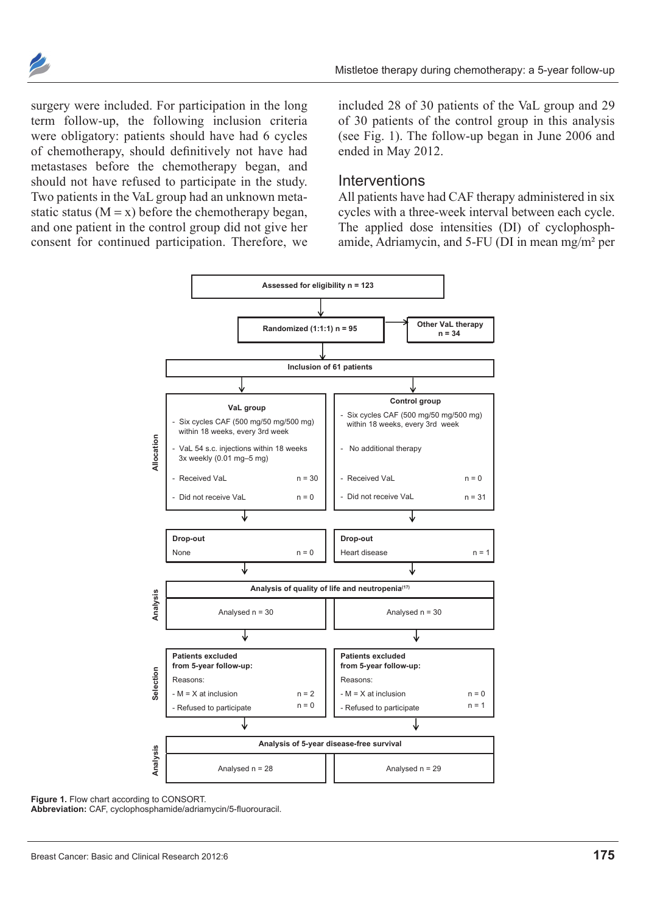

surgery were included. For participation in the long term follow-up, the following inclusion criteria were obligatory: patients should have had 6 cycles of chemotherapy, should definitively not have had metastases before the chemotherapy began, and should not have refused to participate in the study. Two patients in the VaL group had an unknown metastatic status  $(M = x)$  before the chemotherapy began, and one patient in the control group did not give her consent for continued participation. Therefore, we included 28 of 30 patients of the VaL group and 29 of 30 patients of the control group in this analysis (see Fig. 1). The follow-up began in June 2006 and ended in May 2012.

#### **Interventions**

All patients have had CAF therapy administered in six cycles with a three-week interval between each cycle. The applied dose intensities (DI) of cyclophosphamide, Adriamycin, and 5-FU (DI in mean mg/m² per



Figure 1. Flow chart according to CONSORT.

**Abbreviation:** CAF, cyclophosphamide/adriamycin/5-fluorouracil.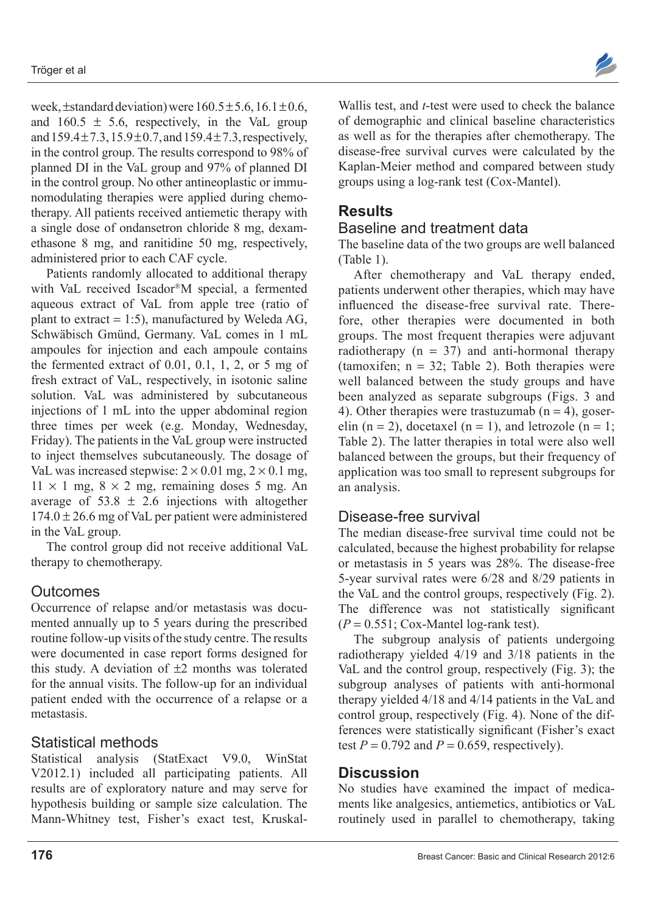

week, $\pm$ standard deviation) were  $160.5\pm5.6$ ,  $16.1\pm0.6$ , and  $160.5 \pm 5.6$ , respectively, in the VaL group and  $159.4 \pm 7.3$ ,  $15.9 \pm 0.7$ , and  $159.4 \pm 7.3$ , respectively, in the control group. The results correspond to 98% of planned DI in the VaL group and 97% of planned DI in the control group. No other antineoplastic or immunomodulating therapies were applied during chemotherapy. All patients received antiemetic therapy with a single dose of ondansetron chloride 8 mg, dexamethasone 8 mg, and ranitidine 50 mg, respectively, administered prior to each CAF cycle.

Patients randomly allocated to additional therapy with VaL received Iscador®M special, a fermented aqueous extract of VaL from apple tree (ratio of plant to extract = 1:5), manufactured by Weleda AG, Schwäbisch Gmünd, Germany. VaL comes in 1 mL ampoules for injection and each ampoule contains the fermented extract of 0.01, 0.1, 1, 2, or 5 mg of fresh extract of VaL, respectively, in isotonic saline solution. VaL was administered by subcutaneous injections of 1 mL into the upper abdominal region three times per week (e.g. Monday, Wednesday, Friday). The patients in the VaL group were instructed to inject themselves subcutaneously. The dosage of VaL was increased stepwise:  $2 \times 0.01$  mg,  $2 \times 0.1$  mg,  $11 \times 1$  mg,  $8 \times 2$  mg, remaining doses 5 mg. An average of  $53.8 \pm 2.6$  injections with altogether  $174.0 \pm 26.6$  mg of VaL per patient were administered in the VaL group.

The control group did not receive additional VaL therapy to chemotherapy.

#### **Outcomes**

Occurrence of relapse and/or metastasis was documented annually up to 5 years during the prescribed routine follow-up visits of the study centre. The results were documented in case report forms designed for this study. A deviation of  $\pm 2$  months was tolerated for the annual visits. The follow-up for an individual patient ended with the occurrence of a relapse or a metastasis.

#### Statistical methods

Statistical analysis (StatExact V9.0, WinStat V2012.1) included all participating patients. All results are of exploratory nature and may serve for hypothesis building or sample size calculation. The Mann-Whitney test, Fisher's exact test, Kruskal-

Wallis test, and *t*-test were used to check the balance of demographic and clinical baseline characteristics as well as for the therapies after chemotherapy. The disease-free survival curves were calculated by the Kaplan-Meier method and compared between study groups using a log-rank test (Cox-Mantel).

## **Results**

### Baseline and treatment data

The baseline data of the two groups are well balanced (Table 1).

After chemotherapy and VaL therapy ended, patients underwent other therapies, which may have influenced the disease-free survival rate. Therefore, other therapies were documented in both groups. The most frequent therapies were adjuvant radiotherapy  $(n = 37)$  and anti-hormonal therapy (tamoxifen;  $n = 32$ ; Table 2). Both therapies were well balanced between the study groups and have been analyzed as separate subgroups (Figs. 3 and 4). Other therapies were trastuzumab  $(n = 4)$ , goserelin (n = 2), docetaxel (n = 1), and letrozole (n = 1; Table 2). The latter therapies in total were also well balanced between the groups, but their frequency of application was too small to represent subgroups for an analysis.

### Disease-free survival

The median disease-free survival time could not be calculated, because the highest probability for relapse or metastasis in 5 years was 28%. The disease-free 5-year survival rates were 6/28 and 8/29 patients in the VaL and the control groups, respectively (Fig. 2). The difference was not statistically significant  $(P = 0.551$ ; Cox-Mantel log-rank test).

The subgroup analysis of patients undergoing radiotherapy yielded  $4/19$  and  $3/18$  patients in the VaL and the control group, respectively (Fig. 3); the subgroup analyses of patients with anti-hormonal therapy yielded 4/18 and 4/14 patients in the VaL and control group, respectively (Fig. 4). None of the differences were statistically significant (Fisher's exact test  $P = 0.792$  and  $P = 0.659$ , respectively).

### **Discussion**

No studies have examined the impact of medicaments like analgesics, antiemetics, antibiotics or VaL routinely used in parallel to chemotherapy, taking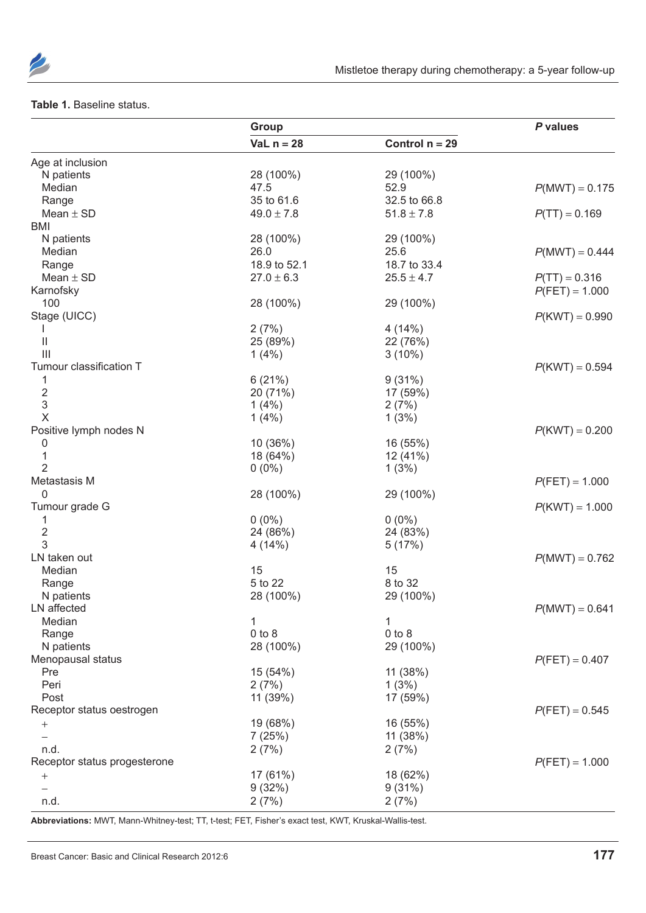

#### **Table 1.** Baseline status.

|                              | Group          |                  | P values         |  |
|------------------------------|----------------|------------------|------------------|--|
|                              | VaL $n = 28$   | Control $n = 29$ |                  |  |
| Age at inclusion             |                |                  |                  |  |
| N patients                   | 28 (100%)      | 29 (100%)        |                  |  |
| Median                       | 47.5           | 52.9             | $P(MWT) = 0.175$ |  |
| Range                        | 35 to 61.6     | 32.5 to 66.8     |                  |  |
| Mean $\pm$ SD                | $49.0 \pm 7.8$ | $51.8 \pm 7.8$   | $P(TT) = 0.169$  |  |
| BMI                          |                |                  |                  |  |
| N patients                   | 28 (100%)      | 29 (100%)        |                  |  |
| Median                       | 26.0           | 25.6             | $P(MWT) = 0.444$ |  |
| Range                        | 18.9 to 52.1   | 18.7 to 33.4     |                  |  |
| Mean $\pm$ SD                | $27.0 \pm 6.3$ | $25.5 \pm 4.7$   | $P(TT) = 0.316$  |  |
| Karnofsky                    |                |                  | $P(FET) = 1.000$ |  |
| 100                          | 28 (100%)      | 29 (100%)        |                  |  |
| Stage (UICC)                 |                |                  | $P(KWT) = 0.990$ |  |
|                              | 2(7%)          | 4(14%)           |                  |  |
| $\mathbf{I}$                 | 25 (89%)       | 22 (76%)         |                  |  |
| $\mathbf{III}$               | 1(4%)          | $3(10\%)$        |                  |  |
| Tumour classification T      |                |                  | $P(KWT) = 0.594$ |  |
| 1                            | 6(21%)         | 9(31%)           |                  |  |
| $\overline{\mathbf{c}}$      | 20 (71%)       | 17 (59%)         |                  |  |
| 3                            | 1(4%)          | 2(7%)            |                  |  |
| $\times$                     | 1(4%)          | 1(3%)            |                  |  |
| Positive lymph nodes N       |                |                  | $P(KWT) = 0.200$ |  |
| 0                            | 10 (36%)       | 16 (55%)         |                  |  |
| 1                            | 18 (64%)       | 12 (41%)         |                  |  |
| $\overline{2}$               | $0(0\%)$       | 1(3%)            |                  |  |
| Metastasis M                 |                |                  | $P(FET) = 1.000$ |  |
| 0                            | 28 (100%)      | 29 (100%)        |                  |  |
| Tumour grade G               |                |                  | $P(KWT) = 1.000$ |  |
| 1                            | $0(0\%)$       | $0(0\%)$         |                  |  |
| $\mathbf 2$                  | 24 (86%)       | 24 (83%)         |                  |  |
| 3                            | 4(14%)         | 5(17%)           |                  |  |
| LN taken out                 |                |                  | $P(MWT) = 0.762$ |  |
| Median                       | 15             | 15               |                  |  |
| Range                        | 5 to 22        | 8 to 32          |                  |  |
| N patients                   | 28 (100%)      | 29 (100%)        |                  |  |
| LN affected                  |                |                  | $P(MWT) = 0.641$ |  |
| Median                       | 1              | 1                |                  |  |
| Range                        | $0$ to $8$     | $0$ to $8$       |                  |  |
| N patients                   | 28 (100%)      | 29 (100%)        |                  |  |
| Menopausal status            |                |                  | $P(FET) = 0.407$ |  |
| Pre                          | 15 (54%)       | 11 (38%)         |                  |  |
| Peri                         | 2(7%)          | 1(3%)            |                  |  |
| Post                         | 11 (39%)       | 17 (59%)         |                  |  |
| Receptor status oestrogen    |                |                  | $P(FET) = 0.545$ |  |
| $\qquad \qquad +$            | 19 (68%)       | 16 (55%)         |                  |  |
|                              | 7(25%)         | 11 (38%)         |                  |  |
| n.d.                         | 2(7%)          | 2(7%)            |                  |  |
| Receptor status progesterone |                |                  | $P(FET) = 1.000$ |  |
|                              | 17 (61%)       | 18 (62%)         |                  |  |
| $^{+}$                       | 9(32%)         |                  |                  |  |
|                              |                | 9(31%)           |                  |  |
| n.d.                         | 2(7%)          | 2(7%)            |                  |  |

**Abbreviations:** MWT, Mann-Whitney-test; TT, t-test; FeT, Fisher's exact test, KWT, Kruskal-Wallis-test.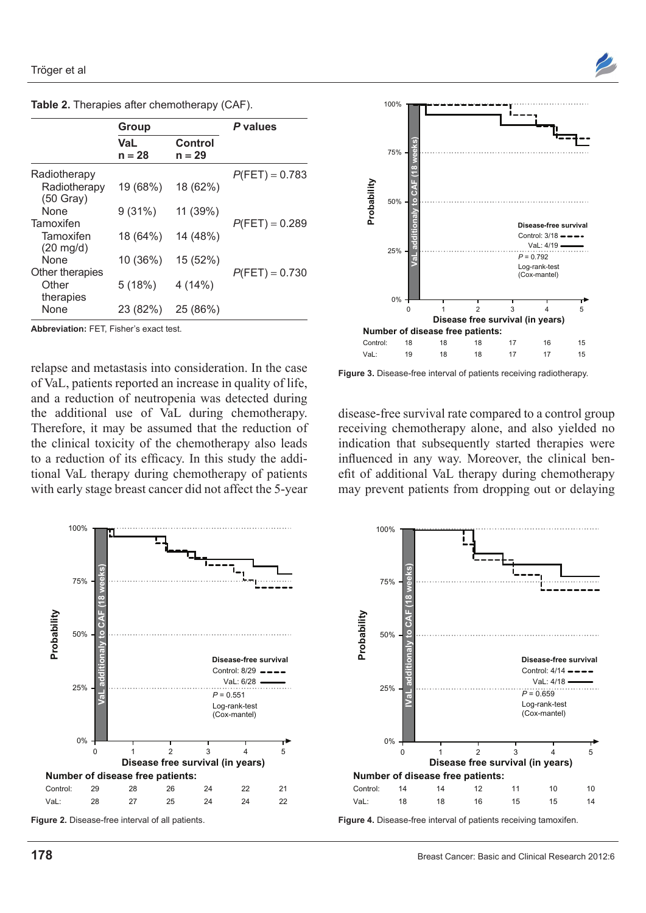

|  |  |  |  | Table 2. Therapies after chemotherapy (CAF). |  |  |
|--|--|--|--|----------------------------------------------|--|--|
|--|--|--|--|----------------------------------------------|--|--|

|                                  | Group                  |                     | P values         |  |
|----------------------------------|------------------------|---------------------|------------------|--|
|                                  | <b>VaL</b><br>$n = 28$ | Control<br>$n = 29$ |                  |  |
| Radiotherapy                     |                        |                     | $P(FET) = 0.783$ |  |
| Radiotherapy<br>$(50$ Gray)      | 19 (68%)               | 18 (62%)            |                  |  |
| <b>None</b>                      | 9(31%)                 | 11 (39%)            |                  |  |
| Tamoxifen                        |                        |                     | $P(FET) = 0.289$ |  |
| Tamoxifen<br>$(20 \text{ mg/d})$ | 18 (64%)               | 14 (48%)            |                  |  |
| <b>None</b>                      | 10 (36%)               | 15 (52%)            |                  |  |
| Other therapies                  |                        |                     | $P(FET) = 0.730$ |  |
| Other<br>therapies               | 5(18%)                 | 4(14%)              |                  |  |
| None                             | 23 (82%)               | 25 (86%)            |                  |  |

**Abbreviation: FFT Fisher's exact test.** 

relapse and metastasis into consideration. In the case of VaL, patients reported an increase in quality of life, and a reduction of neutropenia was detected during the additional use of VaL during chemotherapy. Therefore, it may be assumed that the reduction of the clinical toxicity of the chemotherapy also leads to a reduction of its efficacy. In this study the additional VaL therapy during chemotherapy of patients with early stage breast cancer did not affect the 5-year



**Figure 3.** Disease-free interval of patients receiving radiotherapy.

disease-free survival rate compared to a control group receiving chemotherapy alone, and also yielded no indication that subsequently started therapies were influenced in any way. Moreover, the clinical benefit of additional VaL therapy during chemotherapy may prevent patients from dropping out or delaying



**Figure 2.** Disease-free interval of all patients.



**Figure 4.** Disease-free interval of patients receiving tamoxifen.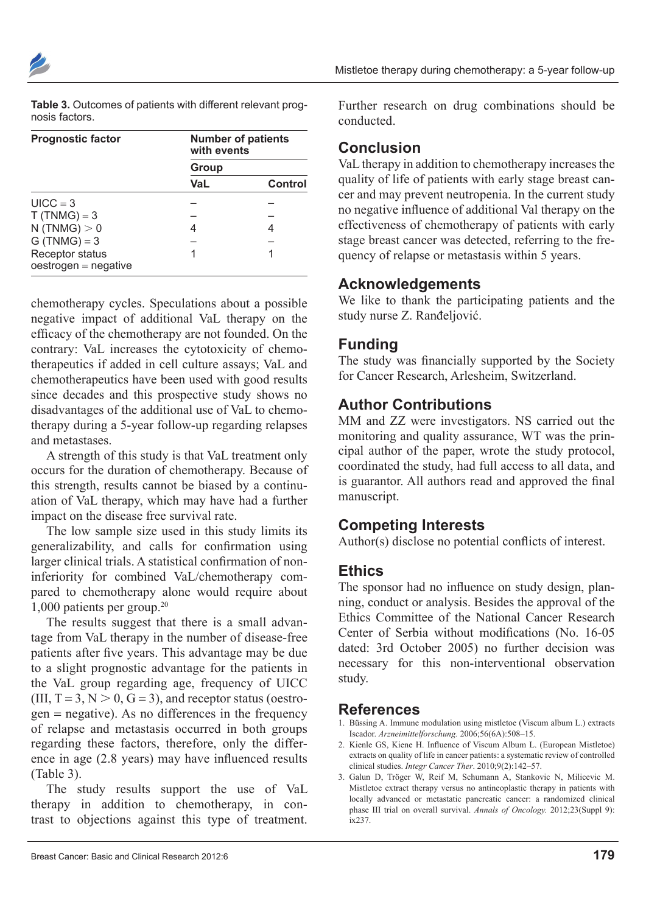| Table 3. Outcomes of patients with different relevant prog- |
|-------------------------------------------------------------|
| nosis factors.                                              |

| <b>Prognostic factor</b>                  | <b>Number of patients</b><br>with events<br>Group |         |  |
|-------------------------------------------|---------------------------------------------------|---------|--|
|                                           |                                                   |         |  |
|                                           | VaL                                               | Control |  |
| $UICC = 3$                                |                                                   |         |  |
| $T(TNMG) = 3$                             |                                                   |         |  |
| N(TNMG) > 0                               |                                                   |         |  |
| $G(TNMG) = 3$                             |                                                   |         |  |
| Receptor status<br>$oestrogen = negative$ |                                                   |         |  |

chemotherapy cycles. Speculations about a possible negative impact of additional VaL therapy on the efficacy of the chemotherapy are not founded. On the contrary: VaL increases the cytotoxicity of chemotherapeutics if added in cell culture assays; VaL and chemotherapeutics have been used with good results since decades and this prospective study shows no disadvantages of the additional use of VaL to chemotherapy during a 5-year follow-up regarding relapses and metastases.

A strength of this study is that VaL treatment only occurs for the duration of chemotherapy. Because of this strength, results cannot be biased by a continuation of VaL therapy, which may have had a further impact on the disease free survival rate.

The low sample size used in this study limits its generalizability, and calls for confirmation using larger clinical trials. A statistical confirmation of noninferiority for combined VaL/chemotherapy compared to chemotherapy alone would require about 1,000 patients per group.20

The results suggest that there is a small advantage from VaL therapy in the number of disease-free patients after five years. This advantage may be due to a slight prognostic advantage for the patients in the VaL group regarding age, frequency of UICC (III,  $T = 3$ ,  $N > 0$ ,  $G = 3$ ), and receptor status (oestrogen = negative). As no differences in the frequency of relapse and metastasis occurred in both groups regarding these factors, therefore, only the difference in age (2.8 years) may have influenced results (Table 3).

The study results support the use of VaL therapy in addition to chemotherapy, in contrast to objections against this type of treatment. Further research on drug combinations should be conducted.

### **conclusion**

VaL therapy in addition to chemotherapy increases the quality of life of patients with early stage breast cancer and may prevent neutropenia. In the current study no negative influence of additional Val therapy on the effectiveness of chemotherapy of patients with early stage breast cancer was detected, referring to the frequency of relapse or metastasis within 5 years.

#### **Acknowledgements**

We like to thank the participating patients and the study nurse Z. Ranđeljović.

#### **Funding**

The study was financially supported by the Society for Cancer Research, Arlesheim, Switzerland.

### **Author contributions**

MM and ZZ were investigators. NS carried out the monitoring and quality assurance, WT was the principal author of the paper, wrote the study protocol, coordinated the study, had full access to all data, and is guarantor. All authors read and approved the final manuscript.

#### **competing Interests**

Author(s) disclose no potential conflicts of interest.

#### **ethics**

The sponsor had no influence on study design, planning, conduct or analysis. Besides the approval of the Ethics Committee of the National Cancer Research Center of Serbia without modifications (No. 16-05 dated: 3rd October 2005) no further decision was necessary for this non-interventional observation study.

#### **References**

- 1. Büssing A. Immune modulation using mistletoe (Viscum album L.) extracts Iscador. *Arzneimittelforschung.* 2006;56(6A):508–15.
- 2. Kienle GS, Kiene H. Influence of Viscum Album L. (European Mistletoe) extracts on quality of life in cancer patients: a systematic review of controlled clinical studies. *Integr Cancer Ther*. 2010;9(2):142–57.
- 3. Galun D, Tröger W, Reif M, Schumann A, Stankovic N, Milicevic M. Mistletoe extract therapy versus no antineoplastic therapy in patients with locally advanced or metastatic pancreatic cancer: a randomized clinical phase III trial on overall survival. *Annals of Oncology.* 2012;23(Suppl 9): ix237.